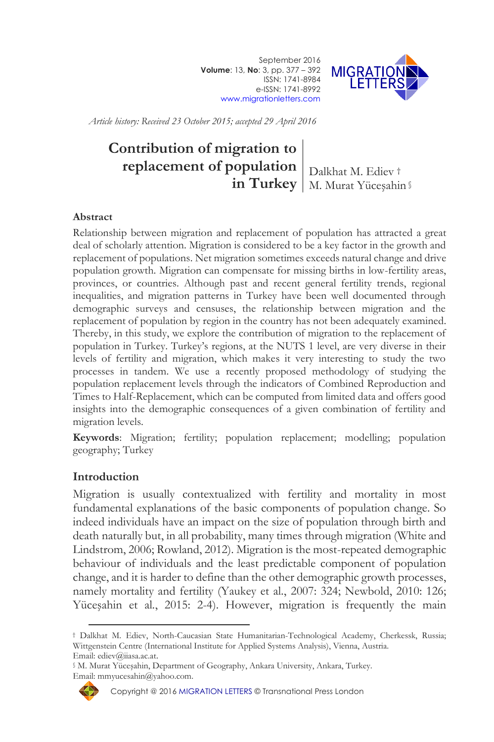September 2016 **Volume**: 13, **No**: 3, pp. 377 – 392 ISSN: 1741-8984 e-ISSN: 1741-8992 [www.migrationletters.com](http://www.migrationletters.com/)



*Article history: Received 23 October 2015; accepted 29 April 2016*

# **Contribution of migration to replacement of population** | Dalkhat M. Ediev † **in Turkey** M. Murat Yüceşahin §

#### **Abstract**

Relationship between migration and replacement of population has attracted a great deal of scholarly attention. Migration is considered to be a key factor in the growth and replacement of populations. Net migration sometimes exceeds natural change and drive population growth. Migration can compensate for missing births in low-fertility areas, provinces, or countries. Although past and recent general fertility trends, regional inequalities, and migration patterns in Turkey have been well documented through demographic surveys and censuses, the relationship between migration and the replacement of population by region in the country has not been adequately examined. Thereby, in this study, we explore the contribution of migration to the replacement of population in Turkey. Turkey's regions, at the NUTS 1 level, are very diverse in their levels of fertility and migration, which makes it very interesting to study the two processes in tandem. We use a recently proposed methodology of studying the population replacement levels through the indicators of Combined Reproduction and Times to Half-Replacement, which can be computed from limited data and offers good insights into the demographic consequences of a given combination of fertility and migration levels.

**Keywords**: Migration; fertility; population replacement; modelling; population geography; Turkey

#### **Introduction**

Migration is usually contextualized with fertility and mortality in most fundamental explanations of the basic components of population change. So indeed individuals have an impact on the size of population through birth and death naturally but, in all probability, many times through migration (White and Lindstrom, 2006; Rowland, 2012). Migration is the most-repeated demographic behaviour of individuals and the least predictable component of population change, and it is harder to define than the other demographic growth processes, namely mortality and fertility (Yaukey et al*.*, 2007: 324; Newbold, 2010: 126; Yüceşahin et al*.*, 2015: 2-4). However, migration is frequently the main

<sup>§</sup> M. Murat Yüceşahin, Department of Geography, Ankara University, Ankara, Turkey. Email: mmyucesahin@yahoo.com.



 $\overline{a}$ † Dalkhat M. Ediev, North-Caucasian State Humanitarian-Technological Academy, Cherkessk, Russia; Wittgenstein Centre (International Institute for Applied Systems Analysis), Vienna, Austria. Email: ediev@iiasa.ac.at.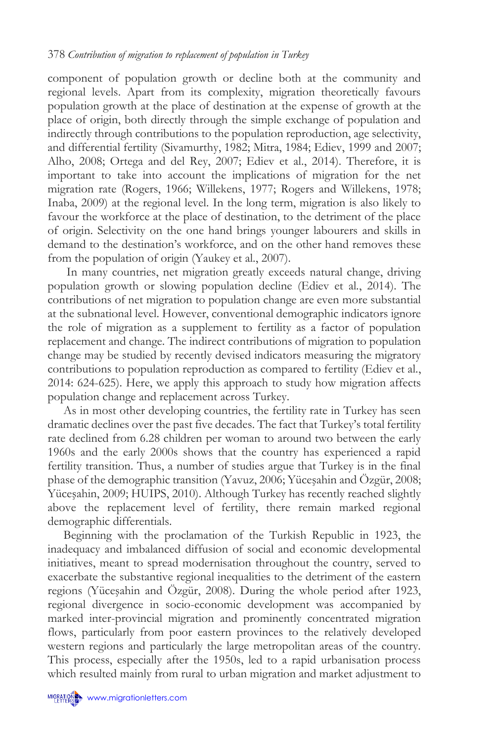component of population growth or decline both at the community and regional levels. Apart from its complexity, migration theoretically favours population growth at the place of destination at the expense of growth at the place of origin, both directly through the simple exchange of population and indirectly through contributions to the population reproduction, age selectivity, and differential fertility (Sivamurthy, 1982; Mitra, 1984; Ediev, 1999 and 2007; Alho, 2008; Ortega and del Rey, 2007; Ediev et al*.*, 2014). Therefore, it is important to take into account the implications of migration for the net migration rate (Rogers, 1966; Willekens, 1977; Rogers and Willekens, 1978; Inaba, 2009) at the regional level. In the long term, migration is also likely to favour the workforce at the place of destination, to the detriment of the place of origin. Selectivity on the one hand brings younger labourers and skills in demand to the destination's workforce, and on the other hand removes these from the population of origin (Yaukey et al*.*, 2007).

In many countries, net migration greatly exceeds natural change, driving population growth or slowing population decline (Ediev et al*.*, 2014). The contributions of net migration to population change are even more substantial at the subnational level. However, conventional demographic indicators ignore the role of migration as a supplement to fertility as a factor of population replacement and change. The indirect contributions of migration to population change may be studied by recently devised indicators measuring the migratory contributions to population reproduction as compared to fertility (Ediev et al*.*, 2014: 624-625). Here, we apply this approach to study how migration affects population change and replacement across Turkey.

As in most other developing countries, the fertility rate in Turkey has seen dramatic declines over the past five decades. The fact that Turkey's total fertility rate declined from 6.28 children per woman to around two between the early 1960s and the early 2000s shows that the country has experienced a rapid fertility transition. Thus, a number of studies argue that Turkey is in the final phase of the demographic transition (Yavuz, 2006; Yüceşahin and Özgür, 2008; Yüceşahin, 2009; HUIPS, 2010). Although Turkey has recently reached slightly above the replacement level of fertility, there remain marked regional demographic differentials.

Beginning with the proclamation of the Turkish Republic in 1923, the inadequacy and imbalanced diffusion of social and economic developmental initiatives, meant to spread modernisation throughout the country, served to exacerbate the substantive regional inequalities to the detriment of the eastern regions (Yüceşahin and Özgür, 2008). During the whole period after 1923, regional divergence in socio-economic development was accompanied by marked inter-provincial migration and prominently concentrated migration flows, particularly from poor eastern provinces to the relatively developed western regions and particularly the large metropolitan areas of the country. This process, especially after the 1950s, led to a rapid urbanisation process which resulted mainly from rural to urban migration and market adjustment to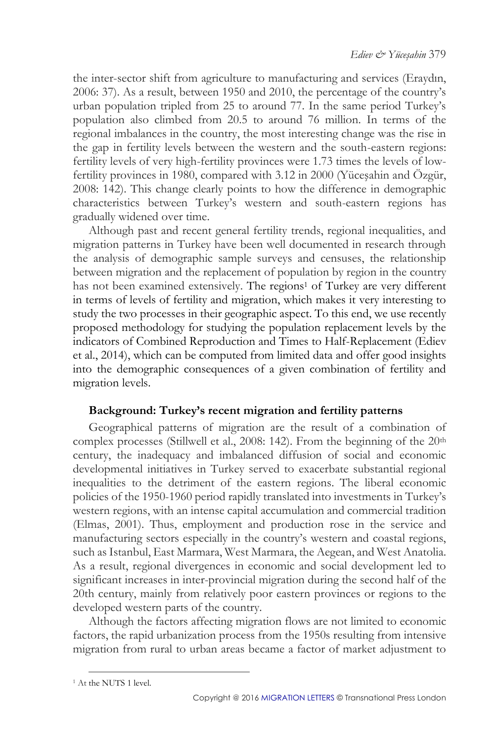the inter-sector shift from agriculture to manufacturing and services (Eraydın, 2006: 37). As a result, between 1950 and 2010, the percentage of the country's urban population tripled from 25 to around 77. In the same period Turkey's population also climbed from 20.5 to around 76 million. In terms of the regional imbalances in the country, the most interesting change was the rise in the gap in fertility levels between the western and the south-eastern regions: fertility levels of very high-fertility provinces were 1.73 times the levels of lowfertility provinces in 1980, compared with 3.12 in 2000 (Yüceşahin and Özgür, 2008: 142). This change clearly points to how the difference in demographic characteristics between Turkey's western and south-eastern regions has gradually widened over time.

Although past and recent general fertility trends, regional inequalities, and migration patterns in Turkey have been well documented in research through the analysis of demographic sample surveys and censuses, the relationship between migration and the replacement of population by region in the country has not been examined extensively. The regions<sup>1</sup> of Turkey are very different in terms of levels of fertility and migration, which makes it very interesting to study the two processes in their geographic aspect. To this end, we use recently proposed methodology for studying the population replacement levels by the indicators of Combined Reproduction and Times to Half-Replacement (Ediev et al., 2014), which can be computed from limited data and offer good insights into the demographic consequences of a given combination of fertility and migration levels.

# **Background: Turkey's recent migration and fertility patterns**

Geographical patterns of migration are the result of a combination of complex processes (Stillwell et al., 2008: 142). From the beginning of the  $20<sup>th</sup>$ century, the inadequacy and imbalanced diffusion of social and economic developmental initiatives in Turkey served to exacerbate substantial regional inequalities to the detriment of the eastern regions. The liberal economic policies of the 1950-1960 period rapidly translated into investments in Turkey's western regions, with an intense capital accumulation and commercial tradition (Elmas, 2001). Thus, employment and production rose in the service and manufacturing sectors especially in the country's western and coastal regions, such as Istanbul, East Marmara, West Marmara, the Aegean, and West Anatolia. As a result, regional divergences in economic and social development led to significant increases in inter-provincial migration during the second half of the 20th century, mainly from relatively poor eastern provinces or regions to the developed western parts of the country.

Although the factors affecting migration flows are not limited to economic factors, the rapid urbanization process from the 1950s resulting from intensive migration from rural to urban areas became a factor of market adjustment to

<sup>&</sup>lt;sup>1</sup> At the NUTS 1 level.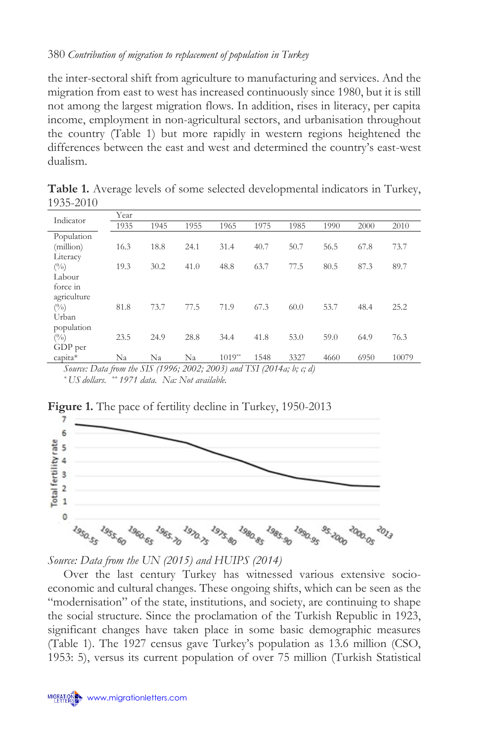the inter-sectoral shift from agriculture to manufacturing and services. And the migration from east to west has increased continuously since 1980, but it is still not among the largest migration flows. In addition, rises in literacy, per capita income, employment in non-agricultural sectors, and urbanisation throughout the country (Table 1) but more rapidly in western regions heightened the differences between the east and west and determined the country's east-west dualism.

| Indicator                                                     | Year |      |      |          |      |      |      |      |       |
|---------------------------------------------------------------|------|------|------|----------|------|------|------|------|-------|
|                                                               | 1935 | 1945 | 1955 | 1965     | 1975 | 1985 | 1990 | 2000 | 2010  |
| Population                                                    |      |      |      |          |      |      |      |      |       |
| (million)                                                     | 16.3 | 18.8 | 24.1 | 31.4     | 40.7 | 50.7 | 56.5 | 67.8 | 73.7  |
| Literacy                                                      |      |      |      |          |      |      |      |      |       |
| $(\%)$                                                        | 19.3 | 30.2 | 41.0 | 48.8     | 63.7 | 77.5 | 80.5 | 87.3 | 89.7  |
| Labour                                                        |      |      |      |          |      |      |      |      |       |
| force in                                                      |      |      |      |          |      |      |      |      |       |
| agriculture                                                   |      |      |      |          |      |      |      |      |       |
| $($ %)                                                        | 81.8 | 73.7 | 77.5 | 71.9     | 67.3 | 60.0 | 53.7 | 48.4 | 25.2  |
| Urban                                                         |      |      |      |          |      |      |      |      |       |
| population                                                    |      |      |      |          |      |      |      |      |       |
| (0/0)                                                         | 23.5 | 24.9 | 28.8 | 34.4     | 41.8 | 53.0 | 59.0 | 64.9 | 76.3  |
| GDP per                                                       |      |      |      |          |      |      |      |      |       |
| capita*                                                       | Na   | Na   | Na   | $1019**$ | 1548 | 3327 | 4660 | 6950 | 10079 |
| $C = D + C + J$ CIC (4004, 2002, 2002) $I TCI$ (2044, $I = R$ |      |      |      |          |      |      |      |      |       |

**Table 1.** Average levels of some selected developmental indicators in Turkey, 1935-2010

*Source: Data from the SIS (1996; 2002; 2003) and TSI (2014a; b; c; d) \* US dollars. \*\* 1971 data. Na: Not available.*





*Source: Data from the UN (2015) and HUIPS (2014)*

Over the last century Turkey has witnessed various extensive socioeconomic and cultural changes. These ongoing shifts, which can be seen as the "modernisation" of the state, institutions, and society, are continuing to shape the social structure. Since the proclamation of the Turkish Republic in 1923, significant changes have taken place in some basic demographic measures (Table 1). The 1927 census gave Turkey's population as 13.6 million (CSO, 1953: 5), versus its current population of over 75 million (Turkish Statistical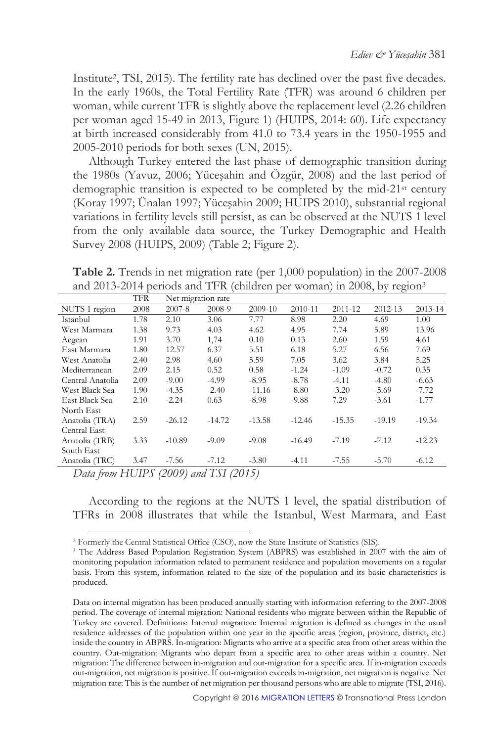Institute<sup>2</sup> , TSI, 2015). The fertility rate has declined over the past five decades. In the early 1960s, the Total Fertility Rate (TFR) was around 6 children per woman, while current TFR is slightly above the replacement level (2.26 children per woman aged 15-49 in 2013, Figure 1) (HUIPS, 2014: 60). Life expectancy at birth increased considerably from 41.0 to 73.4 years in the 1950-1955 and 2005-2010 periods for both sexes (UN, 2015).

Although Turkey entered the last phase of demographic transition during the 1980s (Yavuz, 2006; Yüceşahin and Özgür, 2008) and the last period of demographic transition is expected to be completed by the mid-21st century (Koray 1997; Ünalan 1997; Yüceşahin 2009; HUIPS 2010), substantial regional variations in fertility levels still persist, as can be observed at the NUTS 1 level from the only available data source, the Turkey Demographic and Health Survey 2008 (HUIPS, 2009) (Table 2; Figure 2).

**Table 2.** Trends in net migration rate (per 1,000 population) in the 2007-2008 and 2013-2014 periods and TFR (children per woman) in 2008, by region<sup>3</sup>

|                  | <b>TFR</b> | Net migration rate |          |          |          |          |          |          |
|------------------|------------|--------------------|----------|----------|----------|----------|----------|----------|
| NUTS 1 region    | 2008       | $2007 - 8$         | 2008-9   | 2009-10  | 2010-11  | 2011-12  | 2012-13  | 2013-14  |
| Istanbul         | 1.78       | 2.10               | 3.06     | 7.77     | 8.98     | 2.20     | 4.69     | 1.00     |
| West Marmara     | 1.38       | 9.73               | 4.03     | 4.62     | 4.95     | 7.74     | 5.89     | 13.96    |
| Aegean           | 1.91       | 3.70               | 1,74     | 0.10     | 0.13     | 2.60     | 1.59     | 4.61     |
| East Marmara     | 1.80       | 12.57              | 6.37     | 5.51     | 6.18     | 5.27     | 6.56     | 7.69     |
| West Anatolia    | 2.40       | 2.98               | 4.60     | 5.59     | 7.05     | 3.62     | 3.84     | 5.25     |
| Mediterranean    | 2.09       | 2.15               | 0.52     | 0.58     | $-1.24$  | $-1.09$  | $-0.72$  | 0.35     |
| Central Anatolia | 2.09       | $-9.00$            | $-4.99$  | $-8.95$  | $-8.78$  | $-4.11$  | $-4.80$  | $-6.63$  |
| West Black Sea   | 1.90       | $-4.35$            | $-2.40$  | $-11.16$ | $-8.80$  | $-3.20$  | $-5.69$  | $-7.72$  |
| East Black Sea   | 2.10       | $-2.24$            | 0.63     | $-8.98$  | -9.88    | 7.29     | $-3.61$  | $-1.77$  |
| North East       |            |                    |          |          |          |          |          |          |
| Anatolia (TRA)   | 2.59       | $-26.12$           | $-14.72$ | $-13.58$ | $-12.46$ | $-15.35$ | $-19.19$ | $-19.34$ |
| Central East     |            |                    |          |          |          |          |          |          |
| Anatolia (TRB)   | 3.33       | $-10.89$           | $-9.09$  | $-9.08$  | $-16.49$ | $-7.19$  | $-7.12$  | $-12.23$ |
| South East       |            |                    |          |          |          |          |          |          |
| Anatolia (TRC)   | 3.47       | $-7.56$            | $-7.12$  | $-3.80$  | $-4.11$  | $-7.55$  | $-5.70$  | $-6.12$  |

*Data from HUIPS (2009) and TSI (2015)*

 $\overline{a}$ 

According to the regions at the NUTS 1 level, the spatial distribution of TFRs in 2008 illustrates that while the Istanbul, West Marmara, and East

<sup>2</sup> Formerly the Central Statistical Office (CSO), now the State Institute of Statistics (SIS).

<sup>&</sup>lt;sup>3</sup> The Address Based Population Registration System (ABPRS) was established in 2007 with the aim of monitoring population information related to permanent residence and population movements on a regular basis. From this system, information related to the size of the population and its basic characteristics is produced.

Data on internal migration has been produced annually starting with information referring to the 2007-2008 period. The coverage of internal migration: National residents who migrate between within the Republic of Turkey are covered. Definitions: Internal migration: Internal migration is defined as changes in the usual residence addresses of the population within one year in the specific areas (region, province, district, etc.) inside the country in ABPRS. In-migration: Migrants who arrive at a specific area from other areas within the country. Out-migration: Migrants who depart from a specific area to other areas within a country. Net migration: The difference between in-migration and out-migration for a specific area. If in-migration exceeds out-migration, net migration is positive. If out-migration exceeds in-migration, net migration is negative. Net migration rate: This is the number of net migration per thousand persons who are able to migrate (TSI, 2016).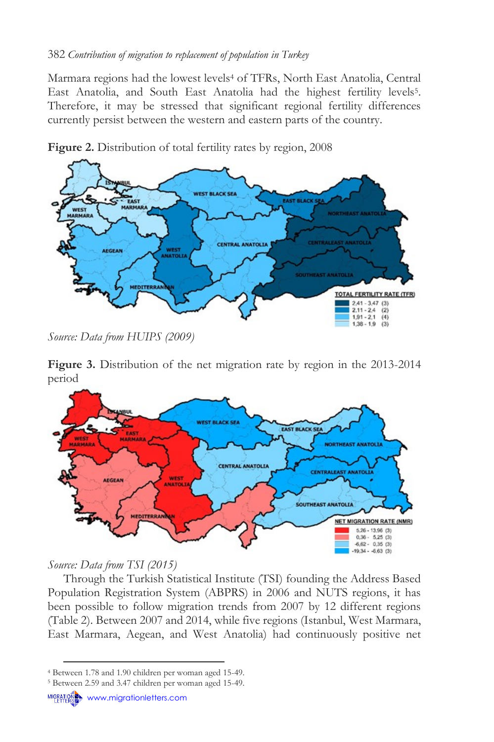Marmara regions had the lowest levels<sup>4</sup> of TFRs, North East Anatolia, Central East Anatolia, and South East Anatolia had the highest fertility levels<sup>5</sup>. Therefore, it may be stressed that significant regional fertility differences currently persist between the western and eastern parts of the country.



**Figure 2.** Distribution of total fertility rates by region, 2008

*Source: Data from HUIPS (2009)*

**Figure 3.** Distribution of the net migration rate by region in the 2013-2014 period



# *Source: Data from TSI (2015)*

Through the Turkish Statistical Institute (TSI) founding the Address Based Population Registration System (ABPRS) in 2006 and NUTS regions, it has been possible to follow migration trends from 2007 by 12 different regions (Table 2). Between 2007 and 2014, while five regions (Istanbul, West Marmara, East Marmara, Aegean, and West Anatolia) had continuously positive net

<sup>4</sup> Between 1.78 and 1.90 children per woman aged 15-49.

<sup>5</sup> Between 2.59 and 3.47 children per woman aged 15-49.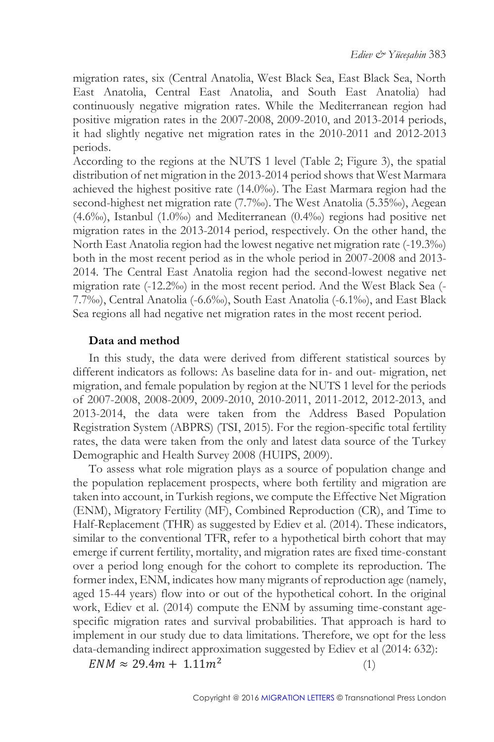migration rates, six (Central Anatolia, West Black Sea, East Black Sea, North East Anatolia, Central East Anatolia, and South East Anatolia) had continuously negative migration rates. While the Mediterranean region had positive migration rates in the 2007-2008, 2009-2010, and 2013-2014 periods, it had slightly negative net migration rates in the 2010-2011 and 2012-2013 periods.

According to the regions at the NUTS 1 level (Table 2; Figure 3), the spatial distribution of net migration in the 2013-2014 period shows that West Marmara achieved the highest positive rate (14.0‰). The East Marmara region had the second-highest net migration rate (7.7‰). The West Anatolia (5.35‰), Aegean (4.6‰), Istanbul (1.0‰) and Mediterranean (0.4‰) regions had positive net migration rates in the 2013-2014 period, respectively. On the other hand, the North East Anatolia region had the lowest negative net migration rate (-19.3‰) both in the most recent period as in the whole period in 2007-2008 and 2013- 2014. The Central East Anatolia region had the second-lowest negative net migration rate (-12.2‰) in the most recent period. And the West Black Sea (- 7.7‰), Central Anatolia (-6.6‰), South East Anatolia (-6.1‰), and East Black Sea regions all had negative net migration rates in the most recent period.

#### **Data and method**

In this study, the data were derived from different statistical sources by different indicators as follows: As baseline data for in- and out- migration, net migration, and female population by region at the NUTS 1 level for the periods of 2007-2008, 2008-2009, 2009-2010, 2010-2011, 2011-2012, 2012-2013, and 2013-2014, the data were taken from the Address Based Population Registration System (ABPRS) (TSI, 2015). For the region-specific total fertility rates, the data were taken from the only and latest data source of the Turkey Demographic and Health Survey 2008 (HUIPS, 2009).

To assess what role migration plays as a source of population change and the population replacement prospects, where both fertility and migration are taken into account, in Turkish regions, we compute the Effective Net Migration (ENM), Migratory Fertility (MF), Combined Reproduction (CR), and Time to Half-Replacement (THR) as suggested by Ediev et al*.* (2014). These indicators, similar to the conventional TFR, refer to a hypothetical birth cohort that may emerge if current fertility, mortality, and migration rates are fixed time-constant over a period long enough for the cohort to complete its reproduction. The former index, ENM, indicates how many migrants of reproduction age (namely, aged 15-44 years) flow into or out of the hypothetical cohort. In the original work, Ediev et al. (2014) compute the ENM by assuming time-constant agespecific migration rates and survival probabilities. That approach is hard to implement in our study due to data limitations. Therefore, we opt for the less data-demanding indirect approximation suggested by Ediev et al (2014: 632):

 $ENM \approx 29.4m + 1.11m^2$ 

(1)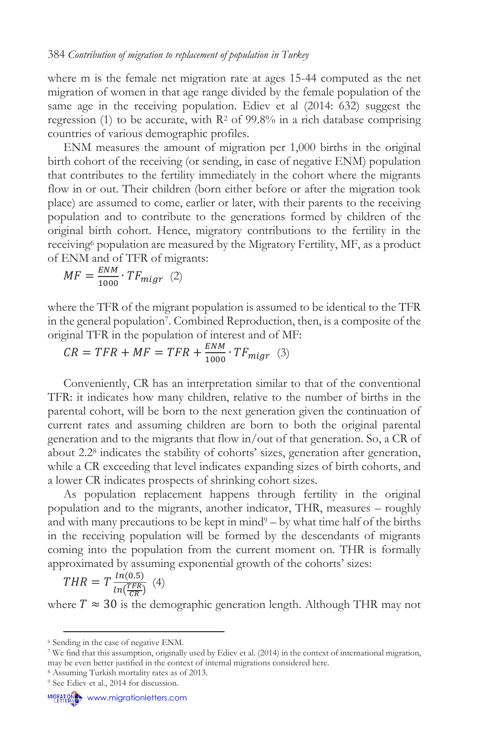where m is the female net migration rate at ages 15-44 computed as the net migration of women in that age range divided by the female population of the same age in the receiving population. Ediev et al (2014: 632) suggest the regression (1) to be accurate, with  $R^2$  of 99.8% in a rich database comprising countries of various demographic profiles.

ENM measures the amount of migration per 1,000 births in the original birth cohort of the receiving (or sending, in case of negative ENM) population that contributes to the fertility immediately in the cohort where the migrants flow in or out. Their children (born either before or after the migration took place) are assumed to come, earlier or later, with their parents to the receiving population and to contribute to the generations formed by children of the original birth cohort. Hence, migratory contributions to the fertility in the receiving<sup>6</sup> population are measured by the Migratory Fertility, MF, as a product of ENM and of TFR of migrants:

$$
MF = \frac{ENM}{1000} \cdot TF_{migr} \quad (2)
$$

where the TFR of the migrant population is assumed to be identical to the TFR in the general population<sup>7</sup> . Combined Reproduction, then, is a composite of the original TFR in the population of interest and of MF:

 $CR = TFR + MF = TFR + \frac{ENM}{1000}$  $\frac{2}{1000} \cdot TF_{migr}$  (3)

Conveniently, CR has an interpretation similar to that of the conventional TFR: it indicates how many children, relative to the number of births in the parental cohort, will be born to the next generation given the continuation of current rates and assuming children are born to both the original parental generation and to the migrants that flow in/out of that generation. So, a CR of about 2.2<sup>8</sup> indicates the stability of cohorts' sizes, generation after generation, while a CR exceeding that level indicates expanding sizes of birth cohorts, and a lower CR indicates prospects of shrinking cohort sizes.

As population replacement happens through fertility in the original population and to the migrants, another indicator, THR, measures – roughly and with many precautions to be kept in mind $9 - by$  what time half of the births in the receiving population will be formed by the descendants of migrants coming into the population from the current moment on. THR is formally approximated by assuming exponential growth of the cohorts' sizes:

$$
THR = T \frac{ln(0.5)}{ln(\frac{TFR}{CR})} \tag{4}
$$

where  $T \approx 30$  is the demographic generation length. Although THR may not

<sup>6</sup> Sending in the case of negative ENM.

<sup>7</sup> We find that this assumption, originally used by Ediev et al. (2014) in the context of international migration, may be even better justified in the context of internal migrations considered here.

<sup>8</sup> Assuming Turkish mortality rates as of 2013.

<sup>&</sup>lt;sup>9</sup> See Ediev et al., 2014 for discussion.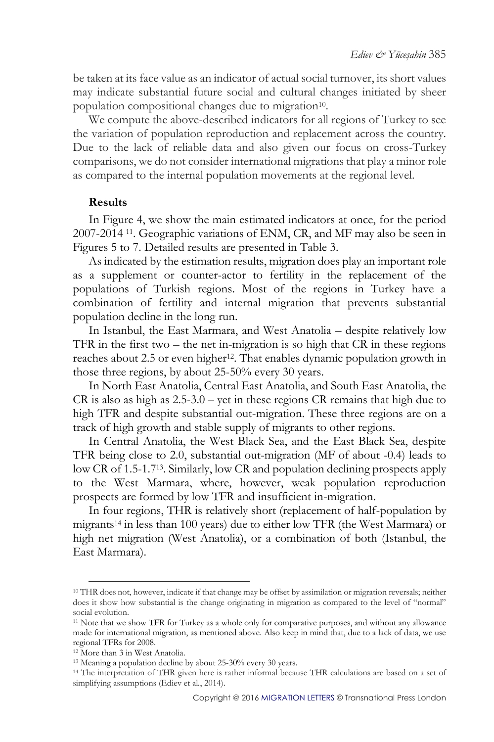be taken at its face value as an indicator of actual social turnover, its short values may indicate substantial future social and cultural changes initiated by sheer population compositional changes due to migration<sup>10</sup>.

We compute the above-described indicators for all regions of Turkey to see the variation of population reproduction and replacement across the country. Due to the lack of reliable data and also given our focus on cross-Turkey comparisons, we do not consider international migrations that play a minor role as compared to the internal population movements at the regional level.

#### **Results**

In Figure 4, we show the main estimated indicators at once, for the period 2007-2014 11. Geographic variations of ENM, CR, and MF may also be seen in Figures 5 to 7. Detailed results are presented in Table 3.

As indicated by the estimation results, migration does play an important role as a supplement or counter-actor to fertility in the replacement of the populations of Turkish regions. Most of the regions in Turkey have a combination of fertility and internal migration that prevents substantial population decline in the long run.

In Istanbul, the East Marmara, and West Anatolia – despite relatively low TFR in the first two – the net in-migration is so high that CR in these regions reaches about 2.5 or even higher<sup>12</sup>. That enables dynamic population growth in those three regions, by about 25-50% every 30 years.

In North East Anatolia, Central East Anatolia, and South East Anatolia, the CR is also as high as 2.5-3.0 – yet in these regions CR remains that high due to high TFR and despite substantial out-migration. These three regions are on a track of high growth and stable supply of migrants to other regions.

In Central Anatolia, the West Black Sea, and the East Black Sea, despite TFR being close to 2.0, substantial out-migration (MF of about -0.4) leads to low CR of 1.5-1.713. Similarly, low CR and population declining prospects apply to the West Marmara, where, however, weak population reproduction prospects are formed by low TFR and insufficient in-migration.

In four regions, THR is relatively short (replacement of half-population by migrants <sup>14</sup> in less than 100 years) due to either low TFR (the West Marmara) or high net migration (West Anatolia), or a combination of both (Istanbul, the East Marmara).

<sup>&</sup>lt;sup>10</sup> THR does not, however, indicate if that change may be offset by assimilation or migration reversals; neither does it show how substantial is the change originating in migration as compared to the level of "normal" social evolution.

<sup>&</sup>lt;sup>11</sup> Note that we show TFR for Turkey as a whole only for comparative purposes, and without any allowance made for international migration, as mentioned above. Also keep in mind that, due to a lack of data, we use regional TFRs for 2008.

<sup>12</sup> More than 3 in West Anatolia.

<sup>13</sup> Meaning a population decline by about 25-30% every 30 years.

<sup>&</sup>lt;sup>14</sup> The interpretation of THR given here is rather informal because THR calculations are based on a set of simplifying assumptions (Ediev et al*.*, 2014).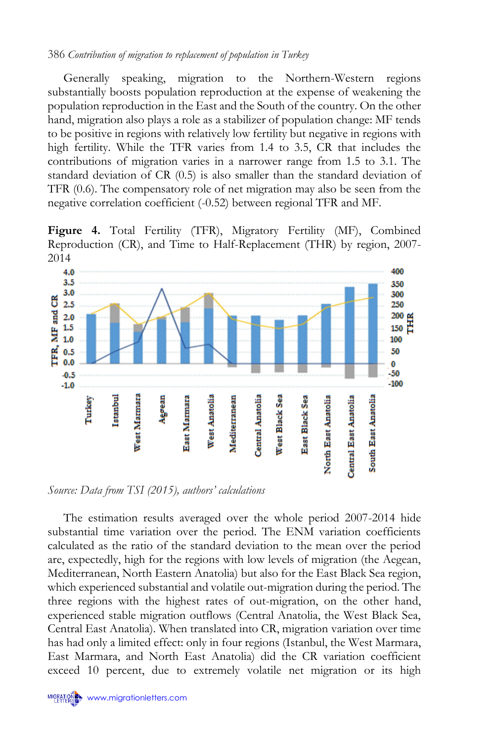Generally speaking, migration to the Northern-Western regions substantially boosts population reproduction at the expense of weakening the population reproduction in the East and the South of the country. On the other hand, migration also plays a role as a stabilizer of population change: MF tends to be positive in regions with relatively low fertility but negative in regions with high fertility. While the TFR varies from 1.4 to 3.5, CR that includes the contributions of migration varies in a narrower range from 1.5 to 3.1. The standard deviation of CR (0.5) is also smaller than the standard deviation of TFR (0.6). The compensatory role of net migration may also be seen from the negative correlation coefficient (-0.52) between regional TFR and MF.

Figure 4. Total Fertility (TFR), Migratory Fertility (MF), Combined Reproduction (CR), and Time to Half-Replacement (THR) by region, 2007- 2014



*Source: Data from TSI (2015), authors' calculations*

The estimation results averaged over the whole period 2007-2014 hide substantial time variation over the period. The ENM variation coefficients calculated as the ratio of the standard deviation to the mean over the period are, expectedly, high for the regions with low levels of migration (the Aegean, Mediterranean, North Eastern Anatolia) but also for the East Black Sea region, which experienced substantial and volatile out-migration during the period. The three regions with the highest rates of out-migration, on the other hand, experienced stable migration outflows (Central Anatolia, the West Black Sea, Central East Anatolia). When translated into CR, migration variation over time has had only a limited effect: only in four regions (Istanbul, the West Marmara, East Marmara, and North East Anatolia) did the CR variation coefficient exceed 10 percent, due to extremely volatile net migration or its high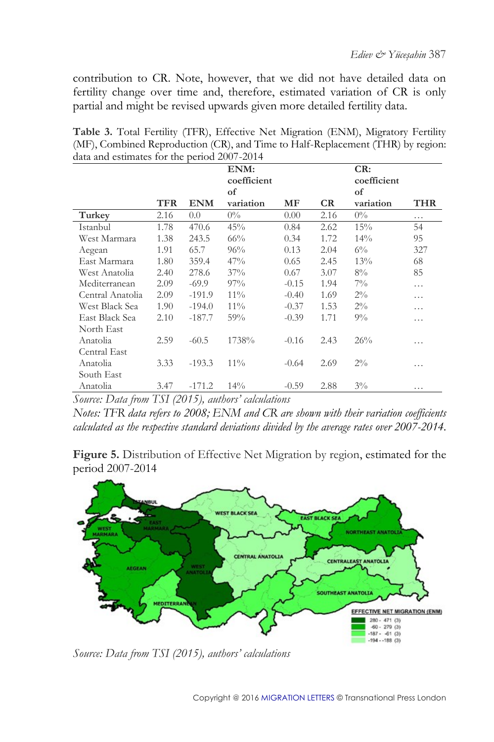contribution to CR. Note, however, that we did not have detailed data on fertility change over time and, therefore, estimated variation of CR is only partial and might be revised upwards given more detailed fertility data.

|                  |      |            | ENM:<br>coefficient |         |      | CR:<br>coefficient |            |
|------------------|------|------------|---------------------|---------|------|--------------------|------------|
|                  | TFR  | <b>ENM</b> | of<br>variation     | MF      | CR   | of<br>variation    | <b>THR</b> |
| Turkey           | 2.16 | 0.0        | $0\%$               | 0.00    | 2.16 | $0\%$              | .          |
| Istanbul         | 1.78 | 470.6      | 45%                 | 0.84    | 2.62 | 15%                | 54         |
| West Marmara     | 1.38 | 243.5      | 66%                 | 0.34    | 1.72 | 14%                | 95         |
| Aegean           | 1.91 | 65.7       | 96%                 | 0.13    | 2.04 | $6\%$              | 327        |
| East Marmara     | 1.80 | 359.4      | 47%                 | 0.65    | 2.45 | 13%                | 68         |
| West Anatolia    | 2.40 | 278.6      | 37%                 | 0.67    | 3.07 | $8\%$              | 85         |
| Mediterranean    | 2.09 | $-69.9$    | 97%                 | $-0.15$ | 1.94 | $7\%$              | .          |
| Central Anatolia | 2.09 | $-191.9$   | $11\%$              | $-0.40$ | 1.69 | $2\%$              | .          |
| West Black Sea   | 1.90 | $-194.0$   | $11\%$              | $-0.37$ | 1.53 | $2\%$              | .          |
| East Black Sea   | 2.10 | $-187.7$   | 59%                 | $-0.39$ | 1.71 | $9\%$              | .          |
| North East       |      |            |                     |         |      |                    |            |
| Anatolia         | 2.59 | $-60.5$    | 1738%               | $-0.16$ | 2.43 | 26%                | .          |
| Central East     |      |            |                     |         |      |                    |            |
| Anatolia         | 3.33 | $-193.3$   | $11\%$              | $-0.64$ | 2.69 | $2\%$              | .          |
| South East       |      |            |                     |         |      |                    |            |
| Anatolia         | 3.47 | $-171.2$   | 14%                 | $-0.59$ | 2.88 | $3\%$              | .          |

**Table 3.** Total Fertility (TFR), Effective Net Migration (ENM), Migratory Fertility (MF), Combined Reproduction (CR), and Time to Half-Replacement (THR) by region:  $\frac{1}{\sqrt{2}}$  and estimates for the period 2007-2014

*Source: Data from TSI (2015), authors' calculations*

*Notes: TFR data refers to 2008; ENM and CR are shown with their variation coefficients calculated as the respective standard deviations divided by the average rates over 2007-2014.*

Figure 5. Distribution of Effective Net Migration by region, estimated for the period 2007-2014



*Source: Data from TSI (2015), authors' calculations*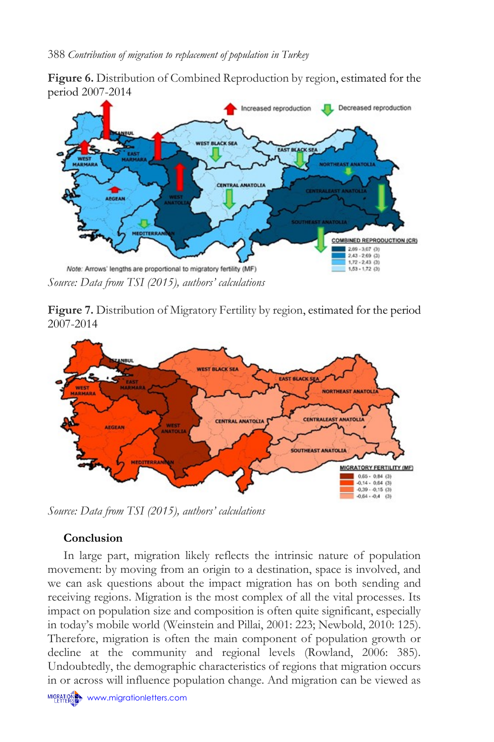**Figure 6.** Distribution of Combined Reproduction by region, estimated for the period 2007-2014



**Figure 7.** Distribution of Migratory Fertility by region, estimated for the period 2007-2014



*Source: Data from TSI (2015), authors' calculations*

## **Conclusion**

In large part, migration likely reflects the intrinsic nature of population movement: by moving from an origin to a destination, space is involved, and we can ask questions about the impact migration has on both sending and receiving regions. Migration is the most complex of all the vital processes. Its impact on population size and composition is often quite significant, especially in today's mobile world (Weinstein and Pillai, 2001: 223; Newbold, 2010: 125). Therefore, migration is often the main component of population growth or decline at the community and regional levels (Rowland, 2006: 385). Undoubtedly, the demographic characteristics of regions that migration occurs in or across will influence population change. And migration can be viewed as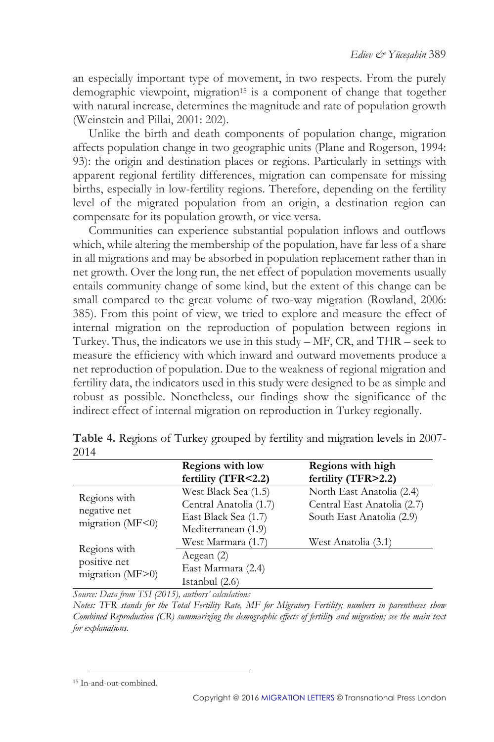an especially important type of movement, in two respects. From the purely demographic viewpoint, migration<sup>15</sup> is a component of change that together with natural increase, determines the magnitude and rate of population growth (Weinstein and Pillai, 2001: 202).

Unlike the birth and death components of population change, migration affects population change in two geographic units (Plane and Rogerson, 1994: 93): the origin and destination places or regions. Particularly in settings with apparent regional fertility differences, migration can compensate for missing births, especially in low-fertility regions. Therefore, depending on the fertility level of the migrated population from an origin, a destination region can compensate for its population growth, or vice versa.

Communities can experience substantial population inflows and outflows which, while altering the membership of the population, have far less of a share in all migrations and may be absorbed in population replacement rather than in net growth. Over the long run, the net effect of population movements usually entails community change of some kind, but the extent of this change can be small compared to the great volume of two-way migration (Rowland, 2006: 385). From this point of view, we tried to explore and measure the effect of internal migration on the reproduction of population between regions in Turkey. Thus, the indicators we use in this study – MF, CR, and THR – seek to measure the efficiency with which inward and outward movements produce a net reproduction of population. Due to the weakness of regional migration and fertility data, the indicators used in this study were designed to be as simple and robust as possible. Nonetheless, our findings show the significance of the indirect effect of internal migration on reproduction in Turkey regionally.

|                                                                                                      | <b>Regions with low</b><br>fertility (TFR<2.2)                                                                      | Regions with high<br>fertility (TFR>2.2)                                                                     |  |  |
|------------------------------------------------------------------------------------------------------|---------------------------------------------------------------------------------------------------------------------|--------------------------------------------------------------------------------------------------------------|--|--|
| Regions with<br>negative net<br>migration (MF<0)<br>Regions with<br>positive net<br>migration (MF>0) | West Black Sea (1.5)<br>Central Anatolia (1.7)<br>East Black Sea (1.7)<br>Mediterranean (1.9)<br>West Marmara (1.7) | North East Anatolia (2.4)<br>Central East Anatolia (2.7)<br>South East Anatolia (2.9)<br>West Anatolia (3.1) |  |  |
|                                                                                                      | Aegean (2)<br>East Marmara (2.4)<br>Istanbul (2.6)                                                                  |                                                                                                              |  |  |

**Table 4.** Regions of Turkey grouped by fertility and migration levels in 2007- 2014

*Source: Data from TSI (2015), authors' calculations*

*Notes: TFR stands for the Total Fertility Rate, MF for Migratory Fertility; numbers in parentheses show Combined Reproduction (CR) summarizing the demographic effects of fertility and migration; see the main text for explanations.*

<sup>15</sup> In-and-out-combined.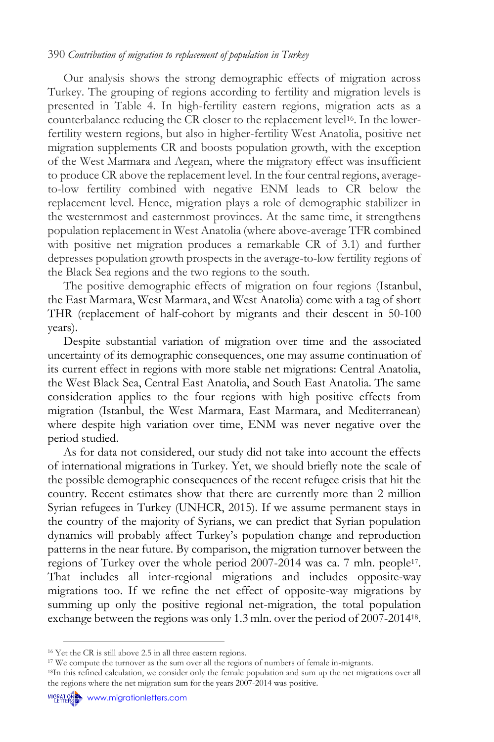Our analysis shows the strong demographic effects of migration across Turkey. The grouping of regions according to fertility and migration levels is presented in Table 4. In high-fertility eastern regions, migration acts as a counterbalance reducing the CR closer to the replacement level<sup>16</sup>. In the lowerfertility western regions, but also in higher-fertility West Anatolia, positive net migration supplements CR and boosts population growth, with the exception of the West Marmara and Aegean, where the migratory effect was insufficient to produce CR above the replacement level. In the four central regions, averageto-low fertility combined with negative ENM leads to CR below the replacement level. Hence, migration plays a role of demographic stabilizer in the westernmost and easternmost provinces. At the same time, it strengthens population replacement in West Anatolia (where above-average TFR combined with positive net migration produces a remarkable CR of 3.1) and further depresses population growth prospects in the average-to-low fertility regions of the Black Sea regions and the two regions to the south.

The positive demographic effects of migration on four regions (Istanbul, the East Marmara, West Marmara, and West Anatolia) come with a tag of short THR (replacement of half-cohort by migrants and their descent in 50-100 years).

Despite substantial variation of migration over time and the associated uncertainty of its demographic consequences, one may assume continuation of its current effect in regions with more stable net migrations: Central Anatolia, the West Black Sea, Central East Anatolia, and South East Anatolia. The same consideration applies to the four regions with high positive effects from migration (Istanbul, the West Marmara, East Marmara, and Mediterranean) where despite high variation over time, ENM was never negative over the period studied.

As for data not considered, our study did not take into account the effects of international migrations in Turkey. Yet, we should briefly note the scale of the possible demographic consequences of the recent refugee crisis that hit the country. Recent estimates show that there are currently more than 2 million Syrian refugees in Turkey (UNHCR, 2015). If we assume permanent stays in the country of the majority of Syrians, we can predict that Syrian population dynamics will probably affect Turkey's population change and reproduction patterns in the near future. By comparison, the migration turnover between the regions of Turkey over the whole period 2007-2014 was ca. 7 mln. people<sup>17</sup>. That includes all inter-regional migrations and includes opposite-way migrations too. If we refine the net effect of opposite-way migrations by summing up only the positive regional net-migration, the total population exchange between the regions was only 1.3 mln. over the period of 2007-2014<sup>18</sup> .

<sup>16</sup> Yet the CR is still above 2.5 in all three eastern regions.

<sup>&</sup>lt;sup>17</sup> We compute the turnover as the sum over all the regions of numbers of female in-migrants.

<sup>&</sup>lt;sup>18</sup>In this refined calculation, we consider only the female population and sum up the net migrations over all the regions where the net migration sum for the years 2007-2014 was positive.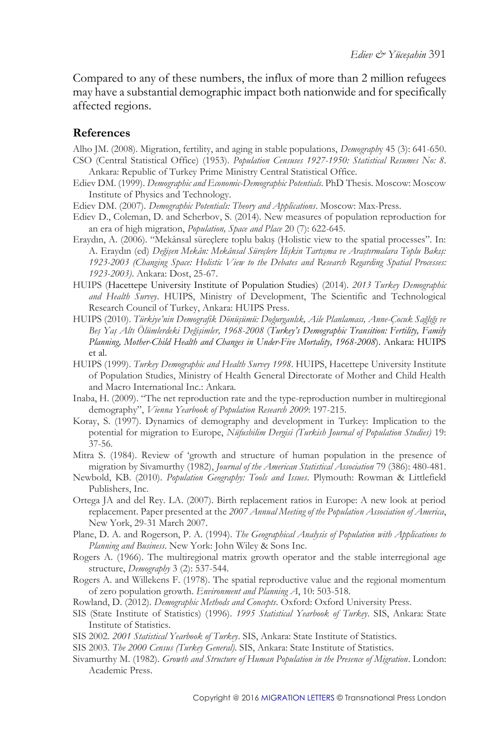Compared to any of these numbers, the influx of more than 2 million refugees may have a substantial demographic impact both nationwide and for specifically affected regions.

#### **References**

Alho JM. (2008). Migration, fertility, and aging in stable populations, *Demograph*y 45 (3): 641-650. CSO (Central Statistical Office) (1953). *Population Censuses 1927-1950: Statistical Resumes No: 8*. Ankara: Republic of Turkey Prime Ministry Central Statistical Office.

Ediev DM. (1999). *Demographic and Economic-Demographic Potentials*. PhD Thesis. Moscow: Moscow Institute of Physics and Technology.

Ediev DM. (2007). *Demographic Potentials: Theory and Applications*. Moscow: Max-Press.

- Ediev D., Coleman, D. and Scherbov, S. (2014). New measures of population reproduction for an era of high migration, *Population, Space and Place* 20 (7): 622-645.
- Eraydın, A. (2006). "Mekânsal süreçlere toplu bakış (Holistic view to the spatial processes". In: A. Eraydın (ed) *Değişen Mekân: Mekânsal Süreçlere İlişkin Tartışma ve Araştırmalara Toplu Bakış: 1923-2003 (Changing Space: Holistic View to the Debates and Research Regarding Spatial Processes: 1923-2003)*. Ankara: Dost, 25-67.
- HUIPS (Hacettepe University Institute of Population Studies) (2014). *2013 Turkey Demographic and Health Survey*. HUIPS, Ministry of Development, The Scientific and Technological Research Council of Turkey, Ankara: HUIPS Press.
- HUIPS (2010). *Türkiye'nin Demografik Dönüşümü: Doğurganlık, Aile Planlaması, Anne-Çocuk Sağlığı ve Beş Yaş Altı Ölümlerdeki Değişimler, 1968-2008* (*Turkey's Demographic Transition: Fertility, Family Planning, Mother-Child Health and Changes in Under-Five Mortality, 1968-2008*). Ankara: HUIPS et al.
- HUIPS (1999). *Turkey Demographic and Health Survey 1998*. HUIPS, Hacettepe University Institute of Population Studies, Ministry of Health General Directorate of Mother and Child Health and Macro International Inc.: Ankara.
- Inaba, H. (2009). "The net reproduction rate and the type-reproduction number in multiregional demography", *Vienna Yearbook of Population Research 2009*: 197-215.
- Koray, S. (1997). Dynamics of demography and development in Turkey: Implication to the potential for migration to Europe, *Nüfusbilim Dergisi (Turkish Journal of Population Studies)* 19: 37-56.
- Mitra S. (1984). Review of 'growth and structure of human population in the presence of migration by Sivamurthy (1982), *Journal of the American Statistical Association* 79 (386): 480-481.
- Newbold, KB. (2010). *Population Geography: Tools and Issues*. Plymouth: Rowman & Littlefield Publishers, Inc.
- Ortega JA and del Rey. LA. (2007). Birth replacement ratios in Europe: A new look at period replacement. Paper presented at the *2007 Annual Meeting of the Population Association of America*, New York, 29-31 March 2007.
- Plane, D. A. and Rogerson, P. A. (1994). *The Geographical Analysis of Population with Applications to Planning and Business*. New York: John Wiley & Sons Inc.
- Rogers A. (1966). The multiregional matrix growth operator and the stable interregional age structure, *Demography* 3 (2): 537-544.
- Rogers A. and Willekens F. (1978). The spatial reproductive value and the regional momentum of zero population growth. *Environment and Planning A*, 10: 503-518.

Rowland, D. (2012). *Demographic Methods and Concepts*. Oxford: Oxford University Press.

- SIS (State Institute of Statistics) (1996). *1995 Statistical Yearbook of Turkey*. SIS, Ankara: State Institute of Statistics.
- SIS 2002. *2001 Statistical Yearbook of Turkey*. SIS, Ankara: State Institute of Statistics.
- SIS 2003. *The 2000 Census (Turkey General)*. SIS, Ankara: State Institute of Statistics.
- Sivamurthy M. (1982). *Growth and Structure of Human Population in the Presence of Migration*. London: Academic Press.